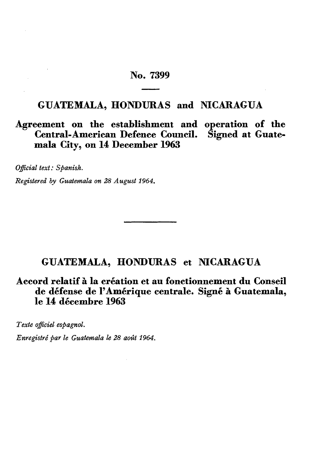# **No. 7399**

# **GUATEMALA, HONDURAS and NICARAGUA**

# **Agreement on the establishment and operation of the Central-American Defence Council. Signed at Guate mala City, on 14 December 1963**

*Official text : Spanish.*

*Registered by Guatemala on 28 August 1964.*

# **GUATEMALA, HONDURAS et NICARAGUA**

**Accord relatif à la création et au fonctionnement du Conseil de défense de l'Amérique centrale. Signé à Guatemala, le 14 décembre 1963**

*Texte officiel espagnol.*

*Enregistré par le Guatemala le 28 août 1964.*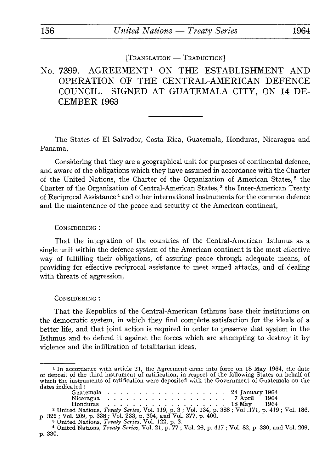$[T$ RANSLATION  $-T$ RADUCTION $]$ 

# No. 7399. AGREEMENT<sup>1</sup> ON THE ESTABLISHMENT AND OPERATION OF THE CENTRAL-AMERICAN DEFENCE COUNCIL. SIGNED AT GUATEMALA CITY, ON 14 DE CEMBER 1963

The States of El Salvador, Costa Rica, Guatemala, Honduras, Nicaragua and Panama,

Considering that they are a geographical unit for purposes of continental defence, and aware of the obligations which they have assumed in accordance with the Charter of the United Nations, the Charter of the Organization of American States, 2 the Charter of the Organization of Central-American States, 3 the Inter-American Treaty of Reciprocal Assistance 4 and other international instruments for the common defence and the maintenance of the peace and security of the American continent,

#### CONSIDERING :

That the integration of the countries of the Central-American Isthmus as a single unit within the defence system of the American continent is the most effective way of fulfilling their obligations, of assuring peace through adequate means, of providing for effective reciprocal assistance to meet armed attacks, and of dealing with threats of aggression,

#### CONSIDERING :

That the Republics of the Central-American Isthmus base their institutions on the democratic system, in which they find complete satisfaction for the ideals of a better life, and that joint action is required in order to preserve that system in the Isthmus and to defend it against the forces which are attempting to destroy it by violence and the infiltration of totalitarian ideas,

<sup>1</sup> In accordance with article 21, the Agreement came into force on 18 May 1964, the date of deposit of the third instrument of ratification, in respect of the following States on behalf of which the instruments of ratification were deposited with the Government of Guatemala on the Guatemala ................... 24 January 1964 dates indicated :

| Then the montments of radiication were deposited with the Covernment of Cuatemals                            |  |  |  |  |  |  |  |  |  |  |  |
|--------------------------------------------------------------------------------------------------------------|--|--|--|--|--|--|--|--|--|--|--|
| $\,$ ates indicated : $\,$                                                                                   |  |  |  |  |  |  |  |  |  |  |  |
| Guatemala 24 January 1964                                                                                    |  |  |  |  |  |  |  |  |  |  |  |
| Nicaragua 7 April 1964                                                                                       |  |  |  |  |  |  |  |  |  |  |  |
| Honduras 18 May 1964                                                                                         |  |  |  |  |  |  |  |  |  |  |  |
| <sup>2</sup> United Nations. <i>Treaty Series</i> , Vol. 119, p. 3 : Vol. 134, p. 388 : Vol. 171, p. 419 : V |  |  |  |  |  |  |  |  |  |  |  |

<sup>2</sup> United Nations, *Treaty Series*, Vol. 119, p. 3; Vol. 134, p. 388; Vol. 171, p. 419; Vol. 186, p. 322; Vol. 209, p. 338; Vol. 233, p. 304, and Vol. 377, p. 400.<br><sup>3</sup> United Nations, *Treaty Series*, Vol. 122, p. 3.<br><sup>4</sup>

p. 330.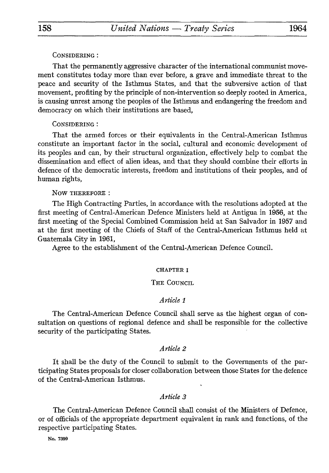### CONSIDERING :

That the permanently aggressive character of the international communist move ment constitutes today more than ever before, a grave and immediate threat to the peace and security of the Isthmus States, and that the subversive action of that movement, profiting by the principle of non-intervention so deeply rooted in America, is causing unrest among the peoples of the Isthmus and endangering the freedom and democracy on which their institutions are based,

# CONSIDERING :

That the armed forces or their equivalents in the Central-American Isthmus constitute an important factor in the social, cultural and economic development of its peoples and can, by their structural organization, effectively help to combat the dissemination and effect of alien ideas, and that they should combine their efforts in defence of the democratic interests, freedom and institutions of their peoples, and of human rights,

#### NOW THEREFORE :

The High Contracting Parties, in accordance with the resolutions adopted at the first meeting of Central-American Defence Ministers held at Antigua in 1956, at the first meeting of the Special Combined Commission held at San Salvador in 1957 and at the first meeting of the Chiefs of Staff of the Central-American Isthmus held at Guatemala City in 1961,

Agree to the establishment of the Central-American Defence Council.

#### CHAPTER I

#### THE COUNCIL

### *Article 1*

The Central-American Defence Council shall serve as the highest organ of con sultation on questions of regional defence and shall be responsible for the collective security of the participating States.

# *Article 2*

It shall be the duty of the Council to submit to the Governments of the par ticipating States proposals for closer collaboration between those States for the defence of the Central-American Isthmus.

# *Article 3*

The Central-American Defence Council shall consist of the Ministers of Defence, or of officials of the appropriate department equivalent in rank and functions, of the respective participating States.

No. 7399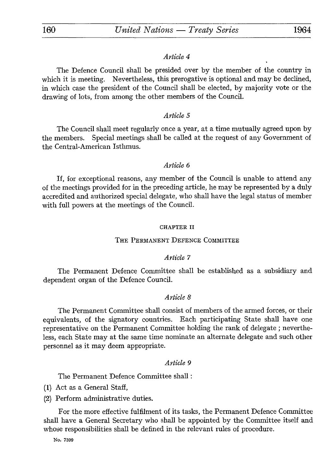## *Article 4*

The Defence Council shall be presided over by the member of the country in which it is meeting. Nevertheless, this prerogative is optional and may be declined, in which case the president of the Council shall be elected, by majority vote or the drawing of lots, from among the other members of the Council.

# *Article 5*

The Council shall meet regularly once a year, at a time mutually agreed upon by the members. Special meetings shall be called at the request of any Government of the Central-American Isthmus.

### *Article 6*

If, for exceptional reasons, any member of the Council is unable to attend any of the meetings provided for in the preceding article, he may be represented by a duly accredited and authorized special delegate, who shall have the legal status of member with full powers at the meetings of the Council.

#### CHAPTER II

#### THE PERMANENT DEFENCE COMMITTEE

# *Article 7*

The Permanent Defence Committee shall be established as a subsidiary and dependent organ of the Defence Council.

# *Article 8*

The Permanent Committee shall consist of members of the armed forces, or their equivalents, of the signatory countries. Each participating State shall have one representative on the Permanent Committee holding the rank of delegate ; neverthe less, each State may at the same time nominate an alternate delegate and such other personnel as it may deem appropriate.

### *Article 9*

The Permanent Defence Committee shall :

(1) Act as a General Staff,

(2) Perform administrative duties.

For the more effective fulfilment of its tasks, the Permanent Defence Committee shall have a General Secretary who shall be appointed by the Committee itself and whose responsibilities shall be defined in the relevant rules of procedure.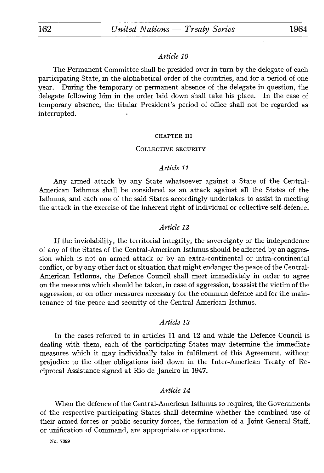# *Article 10*

The Permanent Committee shall be presided over in turn by the delegate of each participating State, in the alphabetical order of the countries, and for a period of one year. During the temporary or permanent absence of the delegate in question, the delegate following him in the order laid down shall take his place. In the case of temporary absence, the titular President's period of office shall not be regarded as interrupted.

#### CHAPTER III

#### COLLECTIVE SECURITY

# *Article 11*

Any armed attack by any State whatsoever against a State of the Central-American Isthmus shall be considered as an attack against all the States of the Isthmus, and each one of the said States accordingly undertakes to assist in meeting the attack in the exercise of the inherent right of individual or collective self-defence.

# *Article 12*

If the inviolability, the territorial integrity, the sovereignty or the independence of any of the States of the Central-American Isthmus should be affected by an aggres sion which is not an armed attack or by an extra-continental or intra-continental conflict, or by any other fact or situation that might endanger the peace of the Central-American Isthmus, the Defence Council shall meet immediately in order to agree on the measures which should be taken, in case of aggression, to assist the victim of the aggression, or on other measures necessary for the commun defence and for the main tenance of the peace and security of the Central-American Isthmus.

## *Article 13*

In the cases referred to in articles 11 and 12 and while the Defence Council is dealing with them, each of the participating States may determine the immediate measures which it may individually take in fulfilment of this Agreement, without prejudice to the other obligations laid down in the Inter-American Treaty of Re ciprocal Assistance signed at Rio de Janeiro in 1947.

### *Article 14*

When the defence of the Central-American Isthmus so requires, the Governments of the respective participating States shall determine whether the combined use of their armed forces or public security forces, the formation of a Joint General Staff, or unification of Command, are appropriate or opportune.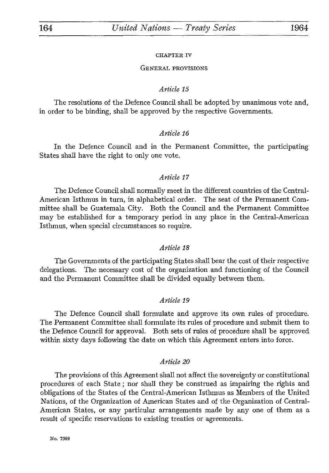#### CHAPTER IV

#### GENERAL PROVISIONS

### *Article 15*

The resolutions of the Defence Council shall be adopted by unanimous vote and, in order to be binding, shall be approved by the respective Governments.

## *Article 16*

In the Defence Council and in the Permanent Committee, the participating States shall have the right to only one vote.

# *Article 17*

The Defence Council shall normally meet in the different countries of the Central-American Isthmus in turn, in alphabetical order. The seat of the Permanent Com mittee shall be Guatemala City. Both the Council and the Permanent Committee may be established for a temporary period in any place in the Central-American Isthmus, when special circumstances so require.

## *Article 18*

The Governments of the participating States shall bear the cost of their respective delegations. The necessary cost of the organization and functioning of the Council and the Permanent Committee shall be divided equally between them.

### *Article 19*

The Defence Council shall formulate and approve its own rules of procedure. The Permanent Committee shall formulate its rules of procedure and submit them to the Defence Council for approval. Both sets of rules of procedure shall be approved within sixty days following the date on which this Agreement enters into force.

### *Article 20*

The provisions of this Agreement shall not affect the sovereignty or constitutional procedures of each State ; nor shall they be construed as impairing the rights and obligations of the States of the Central-American Isthmus as Members of the United Nations, of the Organization of American States and of the Organization of Central-American States, or any particular arrangements made by any one of them as a result of specific reservations to existing treaties or agreements.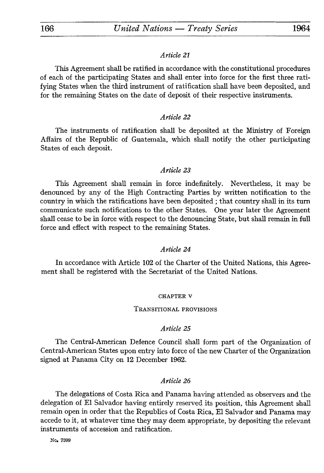# *Article 21*

This Agreement shall be ratified in accordance with the constitutional procedures of each of the participating States and shall enter into force for the first three rati fying States when the third instrument of ratification shall have been deposited, and for the remaining States on the date of deposit of their respective instruments.

# *Article 22*

The instruments of ratification shall be deposited at the Ministry of Foreign Affairs of the Republic of Guatemala, which shall notify the other participating States of each deposit.

# *Article 23*

This Agreement shall remain in force indefinitely. Nevertheless, it may be denounced by any of the High Contracting Parties by written notification to the country in which the ratifications have been deposited ; that country shall in its turn communicate such notifications to the other States. One year later the Agreement shall cease to be in force with respect to the denouncing State, but shall remain in full force and effect with respect to the remaining States.

# *Article 24*

In accordance with Article 102 of the Charter of the United Nations, this Agree ment shall be registered with the Secretariat of the United Nations.

## CHAPTER v

## TRANSITIONAL PROVISIONS

## *Article 25*

The Central-American Defence Council shall form part of the Organization of Central-American States upon entry into force of the new Charter of the Organization signed at Panama City on 12 December 1962.

# *Article 26*

The delegations of Costa Rica and Panama having attended as observers and the delegation of El Salvador having entirely reserved its position, this Agreement shall remain open in order that the Republics of Costa Rica, El Salvador and Panama may accede to it, at whatever time they may deem appropriate, by depositing the relevant instruments of accession and ratification.